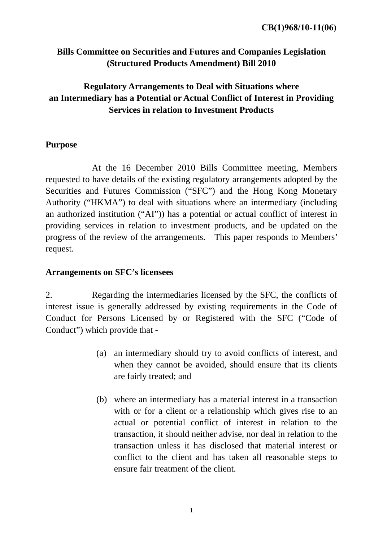## **Bills Committee on Securities and Futures and Companies Legislation (Structured Products Amendment) Bill 2010**

# **Regulatory Arrangements to Deal with Situations where an Intermediary has a Potential or Actual Conflict of Interest in Providing Services in relation to Investment Products**

#### **Purpose**

 At the 16 December 2010 Bills Committee meeting, Members requested to have details of the existing regulatory arrangements adopted by the Securities and Futures Commission ("SFC") and the Hong Kong Monetary Authority ("HKMA") to deal with situations where an intermediary (including an authorized institution ("AI")) has a potential or actual conflict of interest in providing services in relation to investment products, and be updated on the progress of the review of the arrangements. This paper responds to Members' request.

#### **Arrangements on SFC's licensees**

2. Regarding the intermediaries licensed by the SFC, the conflicts of interest issue is generally addressed by existing requirements in the Code of Conduct for Persons Licensed by or Registered with the SFC ("Code of Conduct") which provide that -

- (a) an intermediary should try to avoid conflicts of interest, and when they cannot be avoided, should ensure that its clients are fairly treated; and
- (b) where an intermediary has a material interest in a transaction with or for a client or a relationship which gives rise to an actual or potential conflict of interest in relation to the transaction, it should neither advise, nor deal in relation to the transaction unless it has disclosed that material interest or conflict to the client and has taken all reasonable steps to ensure fair treatment of the client.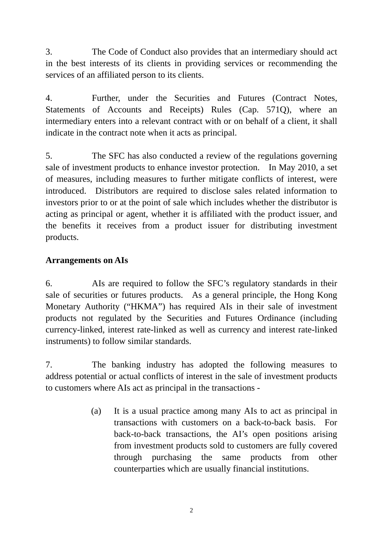3. The Code of Conduct also provides that an intermediary should act in the best interests of its clients in providing services or recommending the services of an affiliated person to its clients.

4. Further, under the Securities and Futures (Contract Notes, Statements of Accounts and Receipts) Rules (Cap. 571Q), where an intermediary enters into a relevant contract with or on behalf of a client, it shall indicate in the contract note when it acts as principal.

5. The SFC has also conducted a review of the regulations governing sale of investment products to enhance investor protection. In May 2010, a set of measures, including measures to further mitigate conflicts of interest, were introduced. Distributors are required to disclose sales related information to investors prior to or at the point of sale which includes whether the distributor is acting as principal or agent, whether it is affiliated with the product issuer, and the benefits it receives from a product issuer for distributing investment products.

### **Arrangements on AIs**

6. AIs are required to follow the SFC's regulatory standards in their sale of securities or futures products. As a general principle, the Hong Kong Monetary Authority ("HKMA") has required AIs in their sale of investment products not regulated by the Securities and Futures Ordinance (including currency-linked, interest rate-linked as well as currency and interest rate-linked instruments) to follow similar standards.

7. The banking industry has adopted the following measures to address potential or actual conflicts of interest in the sale of investment products to customers where AIs act as principal in the transactions -

> (a) It is a usual practice among many AIs to act as principal in transactions with customers on a back-to-back basis. For back-to-back transactions, the AI's open positions arising from investment products sold to customers are fully covered through purchasing the same products from other counterparties which are usually financial institutions.